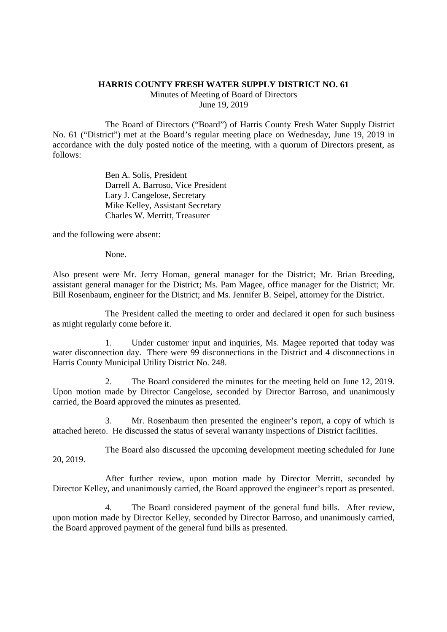## **HARRIS COUNTY FRESH WATER SUPPLY DISTRICT NO. 61**

Minutes of Meeting of Board of Directors June 19, 2019

The Board of Directors ("Board") of Harris County Fresh Water Supply District No. 61 ("District") met at the Board's regular meeting place on Wednesday, June 19, 2019 in accordance with the duly posted notice of the meeting, with a quorum of Directors present, as follows:

> Ben A. Solis, President Darrell A. Barroso, Vice President Lary J. Cangelose, Secretary Mike Kelley, Assistant Secretary Charles W. Merritt, Treasurer

and the following were absent:

None.

Also present were Mr. Jerry Homan, general manager for the District; Mr. Brian Breeding, assistant general manager for the District; Ms. Pam Magee, office manager for the District; Mr. Bill Rosenbaum, engineer for the District; and Ms. Jennifer B. Seipel, attorney for the District.

The President called the meeting to order and declared it open for such business as might regularly come before it.

1. Under customer input and inquiries, Ms. Magee reported that today was water disconnection day. There were 99 disconnections in the District and 4 disconnections in Harris County Municipal Utility District No. 248.

2. The Board considered the minutes for the meeting held on June 12, 2019. Upon motion made by Director Cangelose, seconded by Director Barroso, and unanimously carried, the Board approved the minutes as presented.

3. Mr. Rosenbaum then presented the engineer's report, a copy of which is attached hereto. He discussed the status of several warranty inspections of District facilities.

The Board also discussed the upcoming development meeting scheduled for June 20, 2019.

After further review, upon motion made by Director Merritt, seconded by Director Kelley, and unanimously carried, the Board approved the engineer's report as presented.

4. The Board considered payment of the general fund bills. After review, upon motion made by Director Kelley, seconded by Director Barroso, and unanimously carried, the Board approved payment of the general fund bills as presented.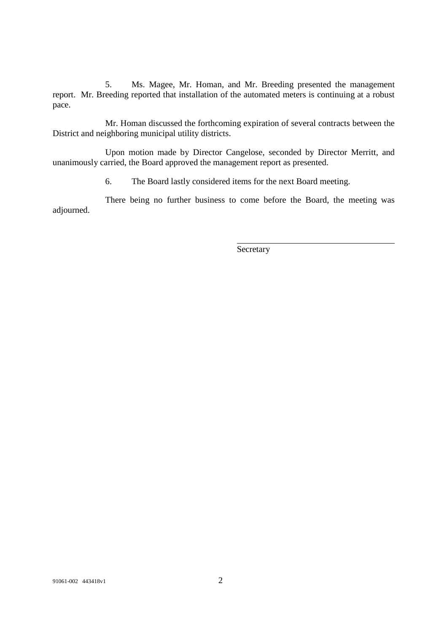5. Ms. Magee, Mr. Homan, and Mr. Breeding presented the management report. Mr. Breeding reported that installation of the automated meters is continuing at a robust pace.

Mr. Homan discussed the forthcoming expiration of several contracts between the District and neighboring municipal utility districts.

Upon motion made by Director Cangelose, seconded by Director Merritt, and unanimously carried, the Board approved the management report as presented.

6. The Board lastly considered items for the next Board meeting.

There being no further business to come before the Board, the meeting was adjourned.

Secretary